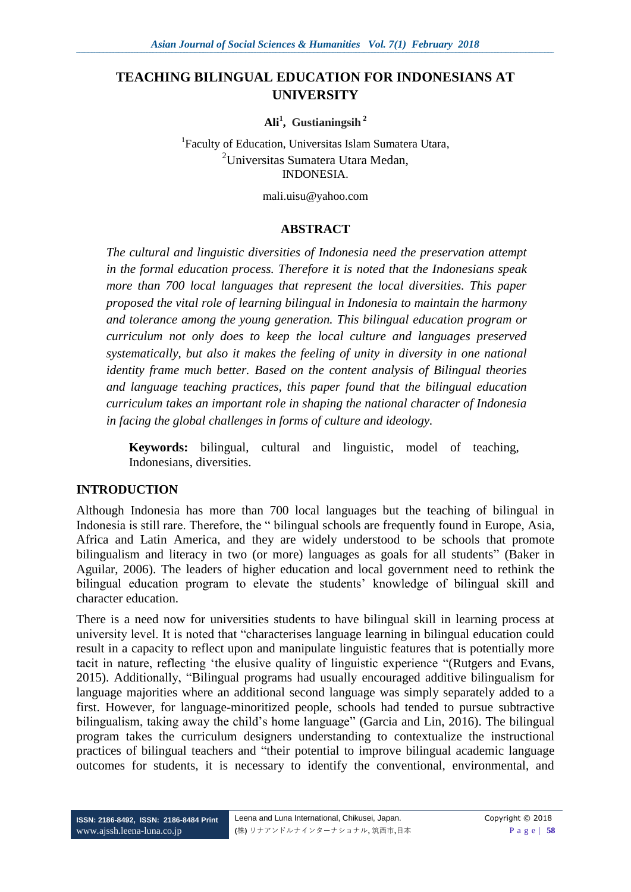# **TEACHING BILINGUAL EDUCATION FOR INDONESIANS AT UNIVERSITY**

**Ali<sup>1</sup> , Gustianingsih <sup>2</sup>**

<sup>1</sup>Faculty of Education, Universitas Islam Sumatera Utara, <sup>2</sup>Universitas Sumatera Utara Medan, INDONESIA.

mali.uisu@yahoo.com

### **ABSTRACT**

*The cultural and linguistic diversities of Indonesia need the preservation attempt in the formal education process. Therefore it is noted that the Indonesians speak more than 700 local languages that represent the local diversities. This paper proposed the vital role of learning bilingual in Indonesia to maintain the harmony and tolerance among the young generation. This bilingual education program or curriculum not only does to keep the local culture and languages preserved systematically, but also it makes the feeling of unity in diversity in one national identity frame much better. Based on the content analysis of Bilingual theories and language teaching practices, this paper found that the bilingual education curriculum takes an important role in shaping the national character of Indonesia in facing the global challenges in forms of culture and ideology.*

**Keywords:** bilingual, cultural and linguistic, model of teaching, Indonesians, diversities.

### **INTRODUCTION**

Although Indonesia has more than 700 local languages but the teaching of bilingual in Indonesia is still rare. Therefore, the " bilingual schools are frequently found in Europe, Asia, Africa and Latin America, and they are widely understood to be schools that promote bilingualism and literacy in two (or more) languages as goals for all students" (Baker in Aguilar, 2006). The leaders of higher education and local government need to rethink the bilingual education program to elevate the students' knowledge of bilingual skill and character education.

There is a need now for universities students to have bilingual skill in learning process at university level. It is noted that "characterises language learning in bilingual education could result in a capacity to reflect upon and manipulate linguistic features that is potentially more tacit in nature, reflecting 'the elusive quality of linguistic experience "(Rutgers and Evans, 2015). Additionally, "Bilingual programs had usually encouraged additive bilingualism for language majorities where an additional second language was simply separately added to a first. However, for language-minoritized people, schools had tended to pursue subtractive bilingualism, taking away the child's home language" (Garcia and Lin, 2016). The bilingual program takes the curriculum designers understanding to contextualize the instructional practices of bilingual teachers and "their potential to improve bilingual academic language outcomes for students, it is necessary to identify the conventional, environmental, and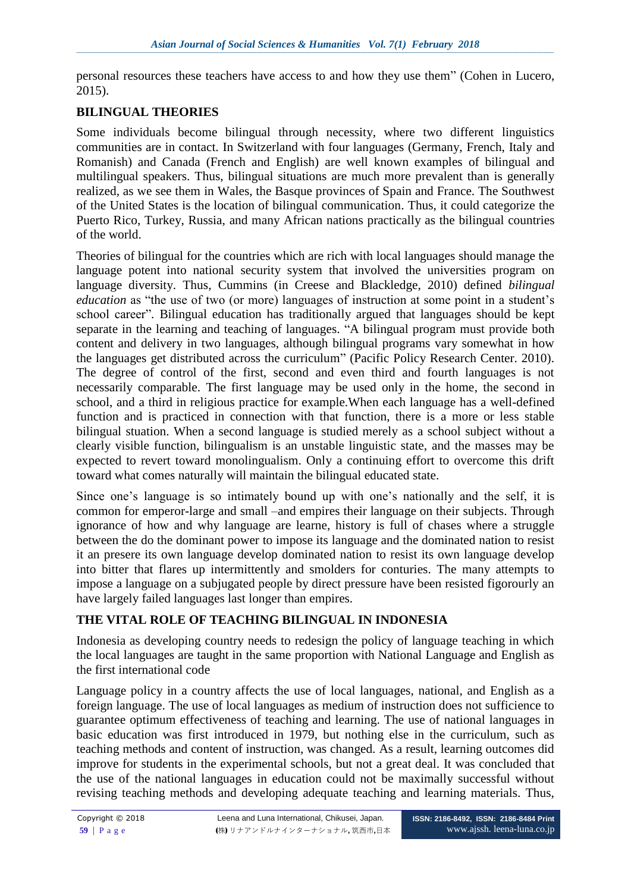personal resources these teachers have access to and how they use them" (Cohen in Lucero, 2015).

## **BILINGUAL THEORIES**

Some individuals become bilingual through necessity, where two different linguistics communities are in contact. In Switzerland with four languages (Germany, French, Italy and Romanish) and Canada (French and English) are well known examples of bilingual and multilingual speakers. Thus, bilingual situations are much more prevalent than is generally realized, as we see them in Wales, the Basque provinces of Spain and France. The Southwest of the United States is the location of bilingual communication. Thus, it could categorize the Puerto Rico, Turkey, Russia, and many African nations practically as the bilingual countries of the world.

Theories of bilingual for the countries which are rich with local languages should manage the language potent into national security system that involved the universities program on language diversity. Thus, Cummins (in Creese and Blackledge, 2010) defined *bilingual education* as "the use of two (or more) languages of instruction at some point in a student's school career". Bilingual education has traditionally argued that languages should be kept separate in the learning and teaching of languages. "A bilingual program must provide both content and delivery in two languages, although bilingual programs vary somewhat in how the languages get distributed across the curriculum" (Pacific Policy Research Center. 2010). The degree of control of the first, second and even third and fourth languages is not necessarily comparable. The first language may be used only in the home, the second in school, and a third in religious practice for example.When each language has a well-defined function and is practiced in connection with that function, there is a more or less stable bilingual stuation. When a second language is studied merely as a school subject without a clearly visible function, bilingualism is an unstable linguistic state, and the masses may be expected to revert toward monolingualism. Only a continuing effort to overcome this drift toward what comes naturally will maintain the bilingual educated state.

Since one's language is so intimately bound up with one's nationally and the self, it is common for emperor-large and small –and empires their language on their subjects. Through ignorance of how and why language are learne, history is full of chases where a struggle between the do the dominant power to impose its language and the dominated nation to resist it an presere its own language develop dominated nation to resist its own language develop into bitter that flares up intermittently and smolders for conturies. The many attempts to impose a language on a subjugated people by direct pressure have been resisted figorourly an have largely failed languages last longer than empires.

## **THE VITAL ROLE OF TEACHING BILINGUAL IN INDONESIA**

Indonesia as developing country needs to redesign the policy of language teaching in which the local languages are taught in the same proportion with National Language and English as the first international code

Language policy in a country affects the use of local languages, national, and English as a foreign language. The use of local languages as medium of instruction does not sufficience to guarantee optimum effectiveness of teaching and learning. The use of national languages in basic education was first introduced in 1979, but nothing else in the curriculum, such as teaching methods and content of instruction, was changed. As a result, learning outcomes did improve for students in the experimental schools, but not a great deal. It was concluded that the use of the national languages in education could not be maximally successful without revising teaching methods and developing adequate teaching and learning materials. Thus,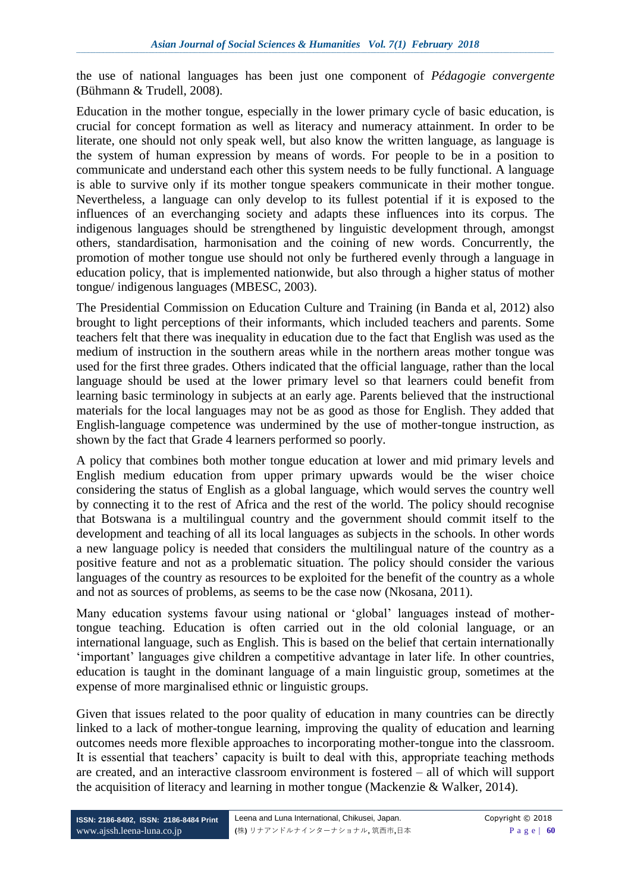the use of national languages has been just one component of *Pédagogie convergente*  (Bühmann & Trudell, 2008).

Education in the mother tongue, especially in the lower primary cycle of basic education, is crucial for concept formation as well as literacy and numeracy attainment. In order to be literate, one should not only speak well, but also know the written language, as language is the system of human expression by means of words. For people to be in a position to communicate and understand each other this system needs to be fully functional. A language is able to survive only if its mother tongue speakers communicate in their mother tongue. Nevertheless, a language can only develop to its fullest potential if it is exposed to the influences of an everchanging society and adapts these influences into its corpus. The indigenous languages should be strengthened by linguistic development through, amongst others, standardisation, harmonisation and the coining of new words. Concurrently, the promotion of mother tongue use should not only be furthered evenly through a language in education policy, that is implemented nationwide, but also through a higher status of mother tongue/ indigenous languages (MBESC, 2003).

The Presidential Commission on Education Culture and Training (in Banda et al, 2012) also brought to light perceptions of their informants, which included teachers and parents. Some teachers felt that there was inequality in education due to the fact that English was used as the medium of instruction in the southern areas while in the northern areas mother tongue was used for the first three grades. Others indicated that the official language, rather than the local language should be used at the lower primary level so that learners could benefit from learning basic terminology in subjects at an early age. Parents believed that the instructional materials for the local languages may not be as good as those for English. They added that English-language competence was undermined by the use of mother-tongue instruction, as shown by the fact that Grade 4 learners performed so poorly.

A policy that combines both mother tongue education at lower and mid primary levels and English medium education from upper primary upwards would be the wiser choice considering the status of English as a global language, which would serves the country well by connecting it to the rest of Africa and the rest of the world. The policy should recognise that Botswana is a multilingual country and the government should commit itself to the development and teaching of all its local languages as subjects in the schools. In other words a new language policy is needed that considers the multilingual nature of the country as a positive feature and not as a problematic situation. The policy should consider the various languages of the country as resources to be exploited for the benefit of the country as a whole and not as sources of problems, as seems to be the case now (Nkosana, 2011).

Many education systems favour using national or 'global' languages instead of mothertongue teaching. Education is often carried out in the old colonial language, or an international language, such as English. This is based on the belief that certain internationally 'important' languages give children a competitive advantage in later life. In other countries, education is taught in the dominant language of a main linguistic group, sometimes at the expense of more marginalised ethnic or linguistic groups.

Given that issues related to the poor quality of education in many countries can be directly linked to a lack of mother-tongue learning, improving the quality of education and learning outcomes needs more flexible approaches to incorporating mother-tongue into the classroom. It is essential that teachers' capacity is built to deal with this, appropriate teaching methods are created, and an interactive classroom environment is fostered – all of which will support the acquisition of literacy and learning in mother tongue (Mackenzie & Walker, 2014).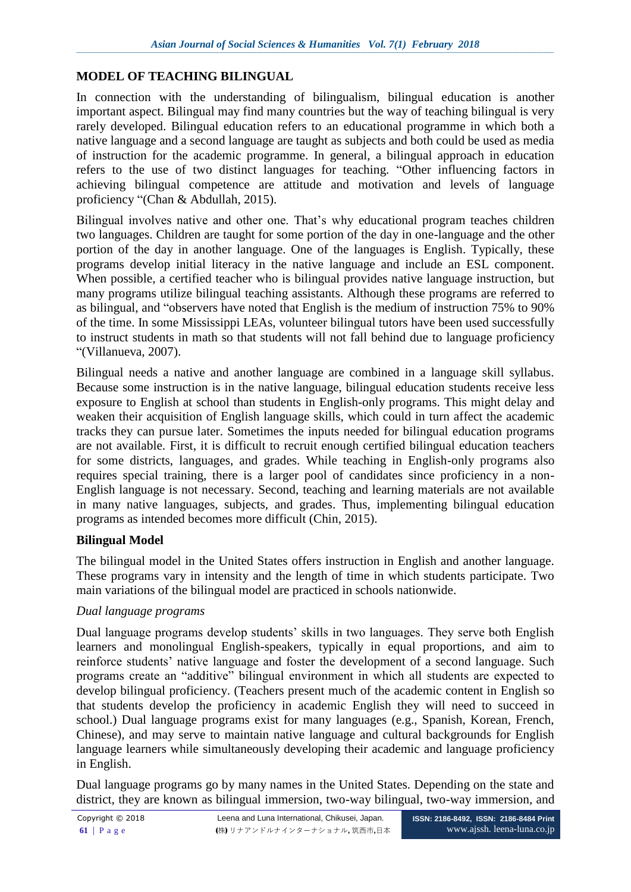## **MODEL OF TEACHING BILINGUAL**

In connection with the understanding of bilingualism, bilingual education is another important aspect. Bilingual may find many countries but the way of teaching bilingual is very rarely developed. Bilingual education refers to an educational programme in which both a native language and a second language are taught as subjects and both could be used as media of instruction for the academic programme. In general, a bilingual approach in education refers to the use of two distinct languages for teaching. "Other influencing factors in achieving bilingual competence are attitude and motivation and levels of language proficiency "(Chan & Abdullah, 2015).

Bilingual involves native and other one. That's why educational program teaches children two languages. Children are taught for some portion of the day in one-language and the other portion of the day in another language. One of the languages is English. Typically, these programs develop initial literacy in the native language and include an ESL component. When possible, a certified teacher who is bilingual provides native language instruction, but many programs utilize bilingual teaching assistants. Although these programs are referred to as bilingual, and "observers have noted that English is the medium of instruction 75% to 90% of the time. In some Mississippi LEAs, volunteer bilingual tutors have been used successfully to instruct students in math so that students will not fall behind due to language proficiency "(Villanueva, 2007).

Bilingual needs a native and another language are combined in a language skill syllabus. Because some instruction is in the native language, bilingual education students receive less exposure to English at school than students in English-only programs. This might delay and weaken their acquisition of English language skills, which could in turn affect the academic tracks they can pursue later. Sometimes the inputs needed for bilingual education programs are not available. First, it is difficult to recruit enough certified bilingual education teachers for some districts, languages, and grades. While teaching in English-only programs also requires special training, there is a larger pool of candidates since proficiency in a non-English language is not necessary. Second, teaching and learning materials are not available in many native languages, subjects, and grades. Thus, implementing bilingual education programs as intended becomes more difficult (Chin, 2015).

## **Bilingual Model**

The bilingual model in the United States offers instruction in English and another language. These programs vary in intensity and the length of time in which students participate. Two main variations of the bilingual model are practiced in schools nationwide.

### *Dual language programs*

Dual language programs develop students' skills in two languages. They serve both English learners and monolingual English-speakers, typically in equal proportions, and aim to reinforce students' native language and foster the development of a second language. Such programs create an "additive" bilingual environment in which all students are expected to develop bilingual proficiency. (Teachers present much of the academic content in English so that students develop the proficiency in academic English they will need to succeed in school.) Dual language programs exist for many languages (e.g., Spanish, Korean, French, Chinese), and may serve to maintain native language and cultural backgrounds for English language learners while simultaneously developing their academic and language proficiency in English.

Dual language programs go by many names in the United States. Depending on the state and district, they are known as bilingual immersion, two-way bilingual, two-way immersion, and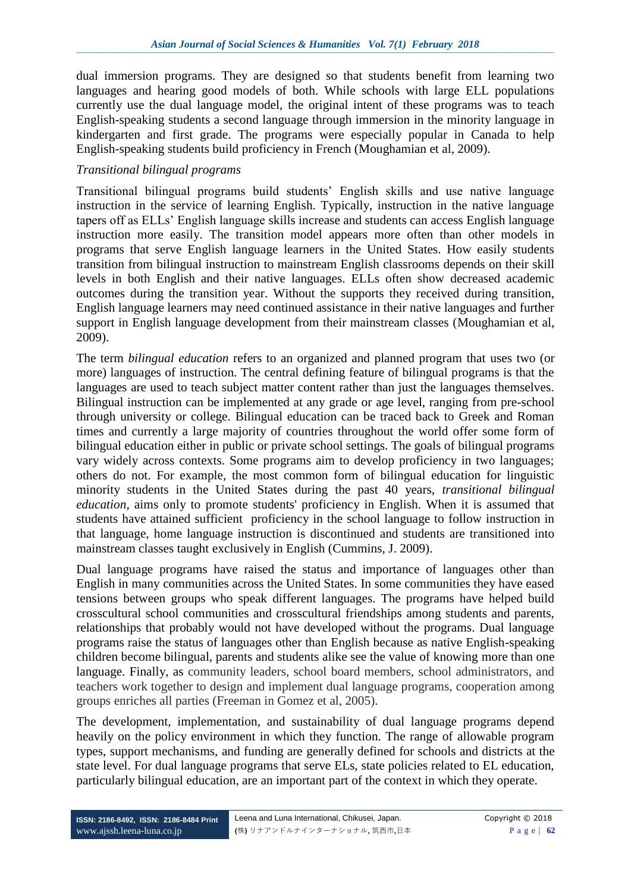dual immersion programs. They are designed so that students benefit from learning two languages and hearing good models of both. While schools with large ELL populations currently use the dual language model, the original intent of these programs was to teach English-speaking students a second language through immersion in the minority language in kindergarten and first grade. The programs were especially popular in Canada to help English-speaking students build proficiency in French (Moughamian et al, 2009).

## *Transitional bilingual programs*

Transitional bilingual programs build students' English skills and use native language instruction in the service of learning English. Typically, instruction in the native language tapers off as ELLs' English language skills increase and students can access English language instruction more easily. The transition model appears more often than other models in programs that serve English language learners in the United States. How easily students transition from bilingual instruction to mainstream English classrooms depends on their skill levels in both English and their native languages. ELLs often show decreased academic outcomes during the transition year. Without the supports they received during transition, English language learners may need continued assistance in their native languages and further support in English language development from their mainstream classes (Moughamian et al, 2009).

The term *bilingual education* refers to an organized and planned program that uses two (or more) languages of instruction. The central defining feature of bilingual programs is that the languages are used to teach subject matter content rather than just the languages themselves. Bilingual instruction can be implemented at any grade or age level, ranging from pre-school through university or college. Bilingual education can be traced back to Greek and Roman times and currently a large majority of countries throughout the world offer some form of bilingual education either in public or private school settings. The goals of bilingual programs vary widely across contexts. Some programs aim to develop proficiency in two languages; others do not. For example, the most common form of bilingual education for linguistic minority students in the United States during the past 40 years, *transitional bilingual education*, aims only to promote students' proficiency in English. When it is assumed that students have attained sufficient proficiency in the school language to follow instruction in that language, home language instruction is discontinued and students are transitioned into mainstream classes taught exclusively in English (Cummins, J. 2009).

Dual language programs have raised the status and importance of languages other than English in many communities across the United States. In some communities they have eased tensions between groups who speak different languages. The programs have helped build crosscultural school communities and crosscultural friendships among students and parents, relationships that probably would not have developed without the programs. Dual language programs raise the status of languages other than English because as native English-speaking children become bilingual, parents and students alike see the value of knowing more than one language. Finally, as community leaders, school board members, school administrators, and teachers work together to design and implement dual language programs, cooperation among groups enriches all parties (Freeman in Gomez et al, 2005).

The development, implementation, and sustainability of dual language programs depend heavily on the policy environment in which they function. The range of allowable program types, support mechanisms, and funding are generally defined for schools and districts at the state level. For dual language programs that serve ELs, state policies related to EL education, particularly bilingual education, are an important part of the context in which they operate.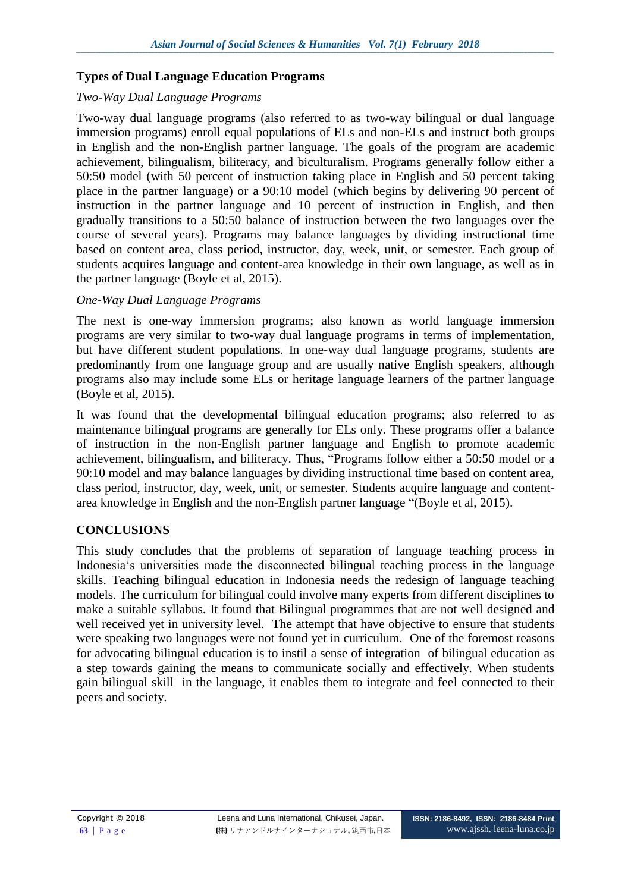### **Types of Dual Language Education Programs**

#### *Two-Way Dual Language Programs*

Two-way dual language programs (also referred to as two-way bilingual or dual language immersion programs) enroll equal populations of ELs and non-ELs and instruct both groups in English and the non-English partner language. The goals of the program are academic achievement, bilingualism, biliteracy, and biculturalism. Programs generally follow either a 50:50 model (with 50 percent of instruction taking place in English and 50 percent taking place in the partner language) or a 90:10 model (which begins by delivering 90 percent of instruction in the partner language and 10 percent of instruction in English, and then gradually transitions to a 50:50 balance of instruction between the two languages over the course of several years). Programs may balance languages by dividing instructional time based on content area, class period, instructor, day, week, unit, or semester. Each group of students acquires language and content-area knowledge in their own language, as well as in the partner language (Boyle et al, 2015).

#### *One-Way Dual Language Programs*

The next is one-way immersion programs; also known as world language immersion programs are very similar to two-way dual language programs in terms of implementation, but have different student populations. In one-way dual language programs, students are predominantly from one language group and are usually native English speakers, although programs also may include some ELs or heritage language learners of the partner language (Boyle et al, 2015).

It was found that the developmental bilingual education programs; also referred to as maintenance bilingual programs are generally for ELs only. These programs offer a balance of instruction in the non-English partner language and English to promote academic achievement, bilingualism, and biliteracy. Thus, "Programs follow either a 50:50 model or a 90:10 model and may balance languages by dividing instructional time based on content area, class period, instructor, day, week, unit, or semester. Students acquire language and contentarea knowledge in English and the non-English partner language "(Boyle et al, 2015).

#### **CONCLUSIONS**

This study concludes that the problems of separation of language teaching process in Indonesia's universities made the disconnected bilingual teaching process in the language skills. Teaching bilingual education in Indonesia needs the redesign of language teaching models. The curriculum for bilingual could involve many experts from different disciplines to make a suitable syllabus. It found that Bilingual programmes that are not well designed and well received yet in university level. The attempt that have objective to ensure that students were speaking two languages were not found yet in curriculum. One of the foremost reasons for advocating bilingual education is to instil a sense of integration of bilingual education as a step towards gaining the means to communicate socially and effectively. When students gain bilingual skill in the language, it enables them to integrate and feel connected to their peers and society.